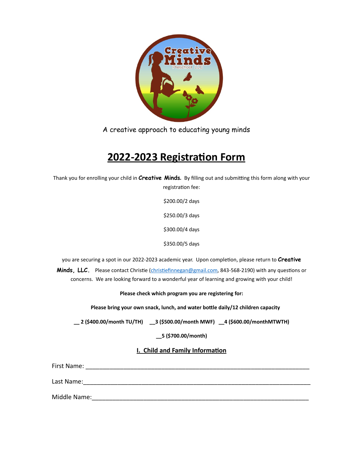

A creative approach to educating young minds

# **2022-2023 Registration Form**

Thank you for enrolling your child in **Creative Minds***.* By filling out and submitting this form along with your registration fee:

> \$200.00/2 days \$250.00/3 days \$300.00/4 days

\$350.00/5 days

you are securing a spot in our 2022-2023 academic year. Upon completion, please return to **Creative** 

**Minds, LLC.** Please contact Christie ([christiefinnegan@gmail.com,](mailto:christiefinnegan@gmail.com) 843-568-2190) with any questions or concerns. We are looking forward to a wonderful year of learning and growing with your child!

**Please check which program you are registering for:**

 **Please bring your own snack, lunch, and water bottle daily/12 children capacity**

**\_\_ 2 (\$400.00/month TU/TH) \_\_3 (\$500.00/month MWF) \_\_4 (\$600.00/monthMTWTH)** 

**\_\_5 (\$700.00/month)** 

**I. Child and Family Information**

First Name: **Example 20** First Name: **Example 20 First Name: Example 20 First Name: Example 20 First Name: Example 20 First Name: Example 20 First Name: Example 20 First Name: Example 20 First Name: Example 2** Last Name:\_\_\_\_\_\_\_\_\_\_\_\_\_\_\_\_\_\_\_\_\_\_\_\_\_\_\_\_\_\_\_\_\_\_\_\_\_\_\_\_\_\_\_\_\_\_\_\_\_\_\_\_\_\_\_\_\_\_\_\_\_\_\_\_\_\_ Middle Name: with the state of the state of the state of the state of the state of the state of the state of the state of the state of the state of the state of the state of the state of the state of the state of the state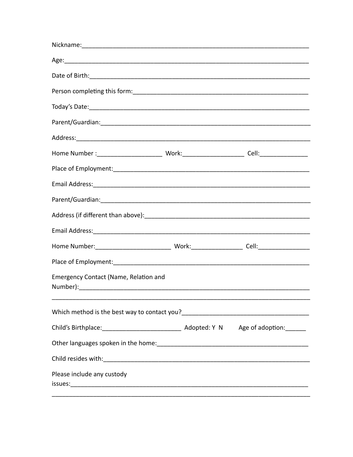| Emergency Contact (Name, Relation and |  |
|---------------------------------------|--|
|                                       |  |
|                                       |  |
|                                       |  |
|                                       |  |
| Please include any custody            |  |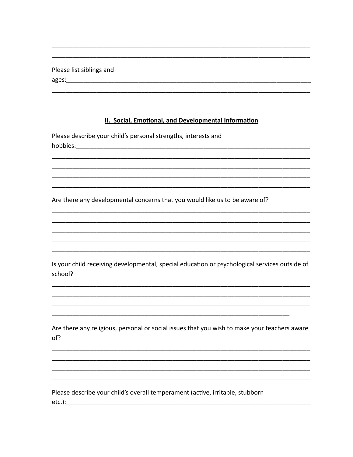|       | Please list siblings and |  |
|-------|--------------------------|--|
| ages: |                          |  |

#### II. Social, Emotional, and Developmental Information

Please describe your child's personal strengths, interests and hobbies:

Are there any developmental concerns that you would like us to be aware of?

Is your child receiving developmental, special education or psychological services outside of school?

Are there any religious, personal or social issues that you wish to make your teachers aware of?

Please describe your child's overall temperament (active, irritable, stubborn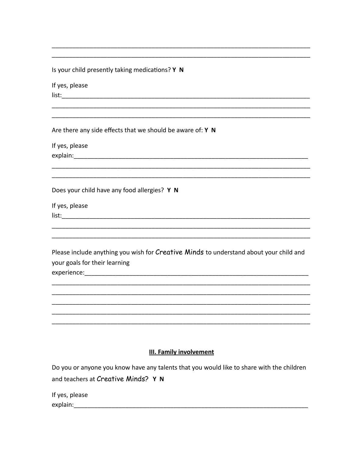Is your child presently taking medications? Y N

If yes, please list: and the state of the state of the state of the state of the state of the state of the state of the state

Are there any side effects that we should be aware of: Y N

If yes, please explain: The contract of the contract of the contract of the contract of the contract of the contract of the contract of the contract of the contract of the contract of the contract of the contract of the contract of the c

Does your child have any food allergies? Y N

If yes, please list: where the contract of the contract of the contract of the contract of the contract of the contract of the contract of the contract of the contract of the contract of the contract of the contract of the contract of th

Please include anything you wish for Creative Minds to understand about your child and your goals for their learning experience: experience:

#### **III. Family involvement**

Do you or anyone you know have any talents that you would like to share with the children and teachers at Creative Minds? Y N

If yes, please explain: 2008 2010 2020 2021 2022 2023 2024 2022 2023 2024 2022 2023 2024 2022 2023 2024 2022 2023 2024 2022 20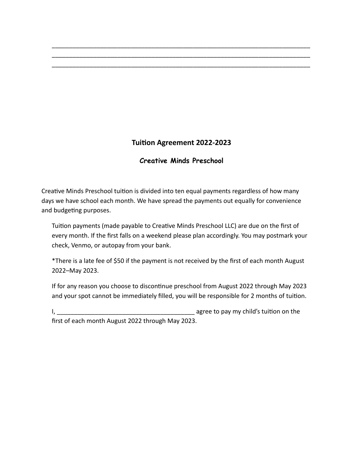## **Tuition Agreement 2022-2023**

\_\_\_\_\_\_\_\_\_\_\_\_\_\_\_\_\_\_\_\_\_\_\_\_\_\_\_\_\_\_\_\_\_\_\_\_\_\_\_\_\_\_\_\_\_\_\_\_\_\_\_\_\_\_\_\_\_\_\_\_\_\_\_\_\_\_\_\_\_\_\_\_\_\_\_ \_\_\_\_\_\_\_\_\_\_\_\_\_\_\_\_\_\_\_\_\_\_\_\_\_\_\_\_\_\_\_\_\_\_\_\_\_\_\_\_\_\_\_\_\_\_\_\_\_\_\_\_\_\_\_\_\_\_\_\_\_\_\_\_\_\_\_\_\_\_\_\_\_\_\_ \_\_\_\_\_\_\_\_\_\_\_\_\_\_\_\_\_\_\_\_\_\_\_\_\_\_\_\_\_\_\_\_\_\_\_\_\_\_\_\_\_\_\_\_\_\_\_\_\_\_\_\_\_\_\_\_\_\_\_\_\_\_\_\_\_\_\_\_\_\_\_\_\_\_\_

### **Creative Minds Preschool**

Creative Minds Preschool tuition is divided into ten equal payments regardless of how many days we have school each month. We have spread the payments out equally for convenience and budgeting purposes.

Tuition payments (made payable to Creative Minds Preschool LLC) are due on the first of every month. If the first falls on a weekend please plan accordingly. You may postmark your check, Venmo, or autopay from your bank.

\*There is a late fee of \$50 if the payment is not received by the first of each month August 2022–May 2023.

If for any reason you choose to discontinue preschool from August 2022 through May 2023 and your spot cannot be immediately filled, you will be responsible for 2 months of tuition.

I,  $\frac{1}{2}$  agree to pay my child's tuition on the

first of each month August 2022 through May 2023.